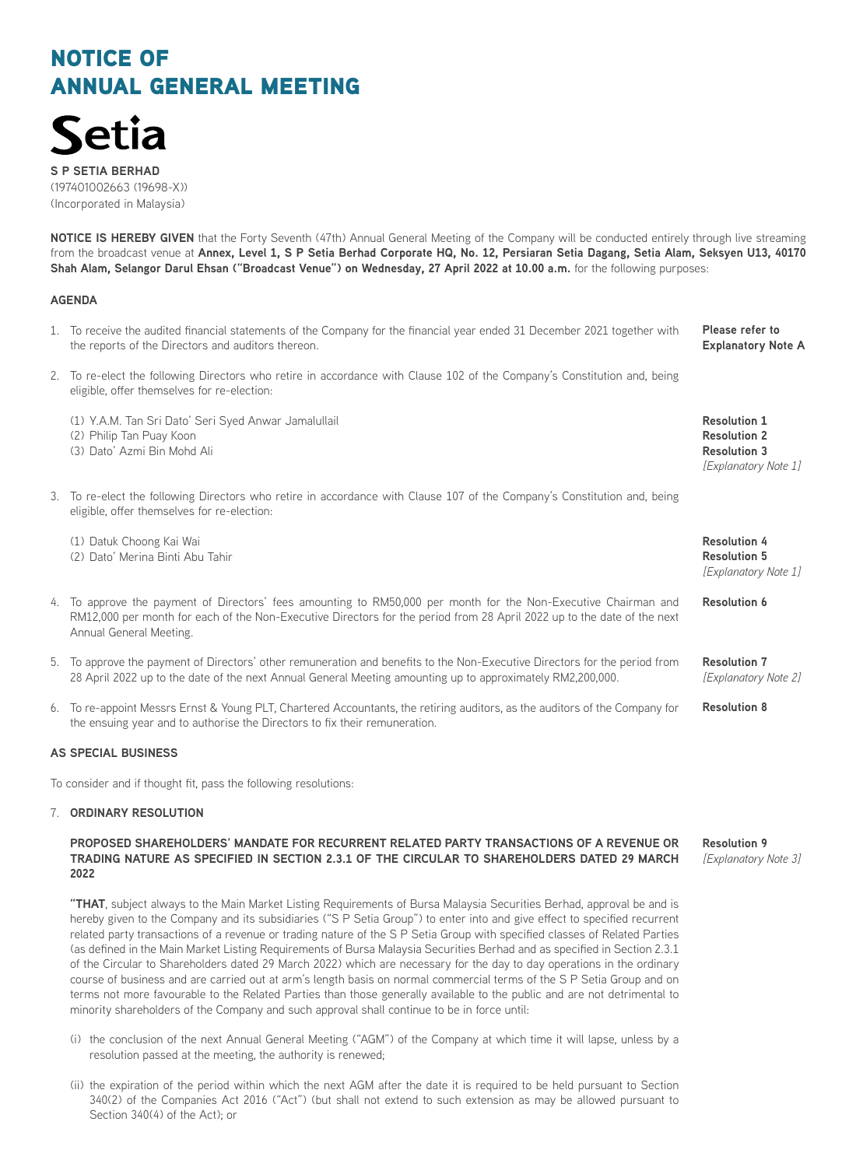

**S P SETIA BERHAD** (197401002663 (19698-X)) (Incorporated in Malaysia)

**NOTICE IS HEREBY GIVEN** that the Forty Seventh (47th) Annual General Meeting of the Company will be conducted entirely through live streaming from the broadcast venue at **Annex, Level 1, S P Setia Berhad Corporate HQ, No. 12, Persiaran Setia Dagang, Setia Alam, Seksyen U13, 40170 Shah Alam, Selangor Darul Ehsan ("Broadcast Venue") on Wednesday, 27 April 2022 at 10.00 a.m.** for the following purposes:

## **AGENDA**

- 1. To receive the audited financial statements of the Company for the financial year ended 31 December 2021 together with the reports of the Directors and auditors thereon. **Please refer to Explanatory Note A**
- 2. To re-elect the following Directors who retire in accordance with Clause 102 of the Company's Constitution and, being eligible, offer themselves for re-election:
	- (1) Y.A.M. Tan Sri Dato' Seri Syed Anwar Jamalullail (2) Philip Tan Puay Koon
	- (3) Dato' Azmi Bin Mohd Ali
- 3. To re-elect the following Directors who retire in accordance with Clause 107 of the Company's Constitution and, being eligible, offer themselves for re-election:

(1) Datuk Choong Kai Wai (2) Dato' Merina Binti Abu Tahir

- 4. To approve the payment of Directors' fees amounting to RM50,000 per month for the Non-Executive Chairman and RM12,000 per month for each of the Non-Executive Directors for the period from 28 April 2022 up to the date of the next Annual General Meeting.
- 5. To approve the payment of Directors' other remuneration and benefits to the Non-Executive Directors for the period from 28 April 2022 up to the date of the next Annual General Meeting amounting up to approximately RM2,200,000.
- 6. To re-appoint Messrs Ernst & Young PLT, Chartered Accountants, the retiring auditors, as the auditors of the Company for the ensuing year and to authorise the Directors to fix their remuneration.

## **AS SPECIAL BUSINESS**

To consider and if thought fit, pass the following resolutions:

## 7. **ORDINARY RESOLUTION**

#### **PROPOSED SHAREHOLDERS' MANDATE FOR RECURRENT RELATED PARTY TRANSACTIONS OF A REVENUE OR TRADING NATURE AS SPECIFIED IN SECTION 2.3.1 OF THE CIRCULAR TO SHAREHOLDERS DATED 29 MARCH 2022**

**"THAT**, subject always to the Main Market Listing Requirements of Bursa Malaysia Securities Berhad, approval be and is hereby given to the Company and its subsidiaries ("S P Setia Group") to enter into and give effect to specified recurrent related party transactions of a revenue or trading nature of the S P Setia Group with specified classes of Related Parties (as defined in the Main Market Listing Requirements of Bursa Malaysia Securities Berhad and as specified in Section 2.3.1 of the Circular to Shareholders dated 29 March 2022) which are necessary for the day to day operations in the ordinary course of business and are carried out at arm's length basis on normal commercial terms of the S P Setia Group and on terms not more favourable to the Related Parties than those generally available to the public and are not detrimental to minority shareholders of the Company and such approval shall continue to be in force until:

- (i) the conclusion of the next Annual General Meeting ("AGM") of the Company at which time it will lapse, unless by a resolution passed at the meeting, the authority is renewed;
- (ii) the expiration of the period within which the next AGM after the date it is required to be held pursuant to Section 340(2) of the Companies Act 2016 ("Act") (but shall not extend to such extension as may be allowed pursuant to Section 340(4) of the Act); or

**Resolution 9** *[Explanatory Note 3]*

**Resolution 1 Resolution 2 Resolution 3** *[Explanatory Note 1]*

**Resolution 4 Resolution 5** *[Explanatory Note 1]*

**Resolution 6**

**Resolution 7** *[Explanatory Note 2]*

**Resolution 8**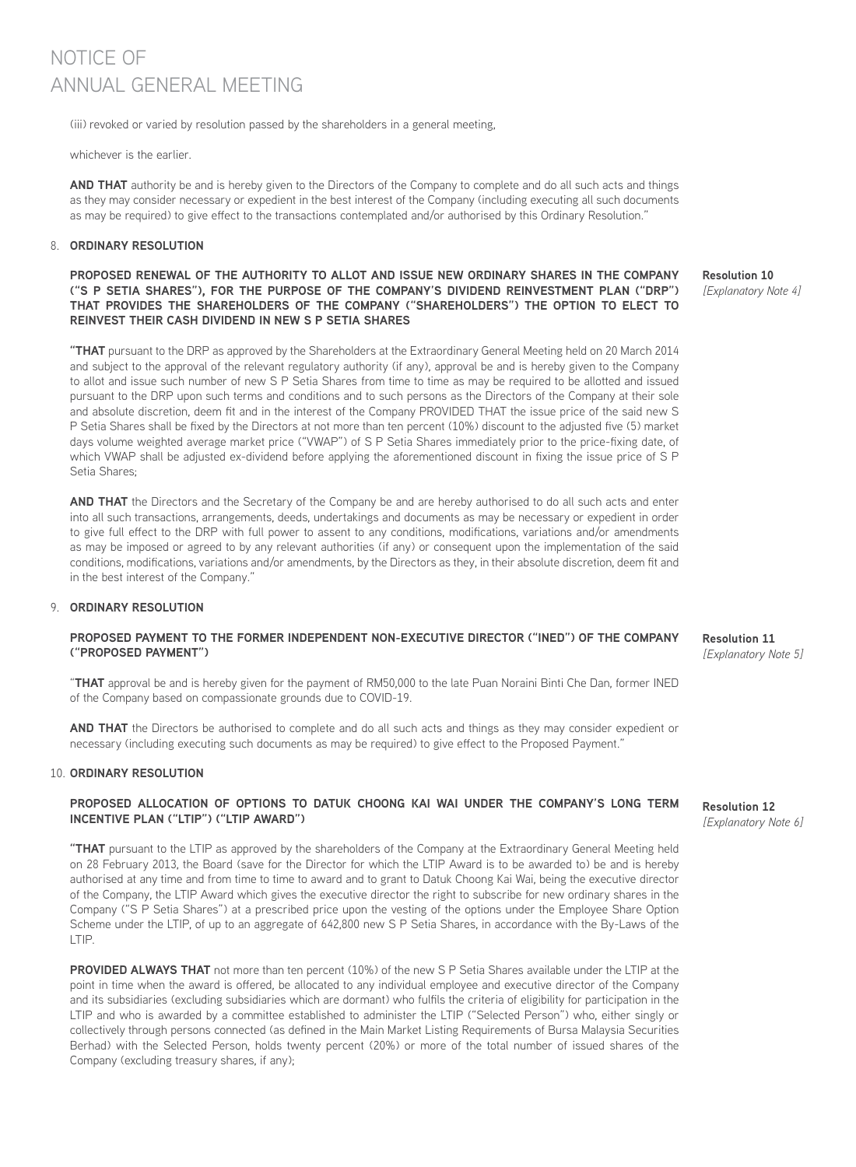(iii) revoked or varied by resolution passed by the shareholders in a general meeting,

whichever is the earlier.

**AND THAT** authority be and is hereby given to the Directors of the Company to complete and do all such acts and things as they may consider necessary or expedient in the best interest of the Company (including executing all such documents as may be required) to give effect to the transactions contemplated and/or authorised by this Ordinary Resolution."

## 8. **ORDINARY RESOLUTION**

## **PROPOSED RENEWAL OF THE AUTHORITY TO ALLOT AND ISSUE NEW ORDINARY SHARES IN THE COMPANY ("S P SETIA SHARES"), FOR THE PURPOSE OF THE COMPANY'S DIVIDEND REINVESTMENT PLAN ("DRP") THAT PROVIDES THE SHAREHOLDERS OF THE COMPANY ("SHAREHOLDERS") THE OPTION TO ELECT TO REINVEST THEIR CASH DIVIDEND IN NEW S P SETIA SHARES**

**"THAT** pursuant to the DRP as approved by the Shareholders at the Extraordinary General Meeting held on 20 March 2014 and subject to the approval of the relevant regulatory authority (if any), approval be and is hereby given to the Company to allot and issue such number of new S P Setia Shares from time to time as may be required to be allotted and issued pursuant to the DRP upon such terms and conditions and to such persons as the Directors of the Company at their sole and absolute discretion, deem fit and in the interest of the Company PROVIDED THAT the issue price of the said new S P Setia Shares shall be fixed by the Directors at not more than ten percent (10%) discount to the adjusted five (5) market days volume weighted average market price ("VWAP") of S P Setia Shares immediately prior to the price-fixing date, of which VWAP shall be adjusted ex-dividend before applying the aforementioned discount in fixing the issue price of S P Setia Shares;

**AND THAT** the Directors and the Secretary of the Company be and are hereby authorised to do all such acts and enter into all such transactions, arrangements, deeds, undertakings and documents as may be necessary or expedient in order to give full effect to the DRP with full power to assent to any conditions, modifications, variations and/or amendments as may be imposed or agreed to by any relevant authorities (if any) or consequent upon the implementation of the said conditions, modifications, variations and/or amendments, by the Directors as they, in their absolute discretion, deem fit and in the best interest of the Company.'

## 9. **ORDINARY RESOLUTION**

## **PROPOSED PAYMENT TO THE FORMER INDEPENDENT NON-EXECUTIVE DIRECTOR ("INED") OF THE COMPANY ("PROPOSED PAYMENT")**

"**THAT** approval be and is hereby given for the payment of RM50,000 to the late Puan Noraini Binti Che Dan, former INED of the Company based on compassionate grounds due to COVID-19.

**AND THAT** the Directors be authorised to complete and do all such acts and things as they may consider expedient or necessary (including executing such documents as may be required) to give effect to the Proposed Payment."

#### 10. **ORDINARY RESOLUTION**

## **PROPOSED ALLOCATION OF OPTIONS TO DATUK CHOONG KAI WAI UNDER THE COMPANY'S LONG TERM INCENTIVE PLAN ("LTIP") ("LTIP AWARD")**

**"THAT** pursuant to the LTIP as approved by the shareholders of the Company at the Extraordinary General Meeting held on 28 February 2013, the Board (save for the Director for which the LTIP Award is to be awarded to) be and is hereby authorised at any time and from time to time to award and to grant to Datuk Choong Kai Wai, being the executive director of the Company, the LTIP Award which gives the executive director the right to subscribe for new ordinary shares in the Company ("S P Setia Shares") at a prescribed price upon the vesting of the options under the Employee Share Option Scheme under the LTIP, of up to an aggregate of 642,800 new S P Setia Shares, in accordance with the By-Laws of the LTIP.

**PROVIDED ALWAYS THAT** not more than ten percent (10%) of the new S P Setia Shares available under the LTIP at the point in time when the award is offered, be allocated to any individual employee and executive director of the Company and its subsidiaries (excluding subsidiaries which are dormant) who fulfils the criteria of eligibility for participation in the LTIP and who is awarded by a committee established to administer the LTIP ("Selected Person") who, either singly or collectively through persons connected (as defined in the Main Market Listing Requirements of Bursa Malaysia Securities Berhad) with the Selected Person, holds twenty percent (20%) or more of the total number of issued shares of the Company (excluding treasury shares, if any);

**Resolution 10** *[Explanatory Note 4]*

**Resolution 11** *[Explanatory Note 5]*

**Resolution 12** *[Explanatory Note 6]*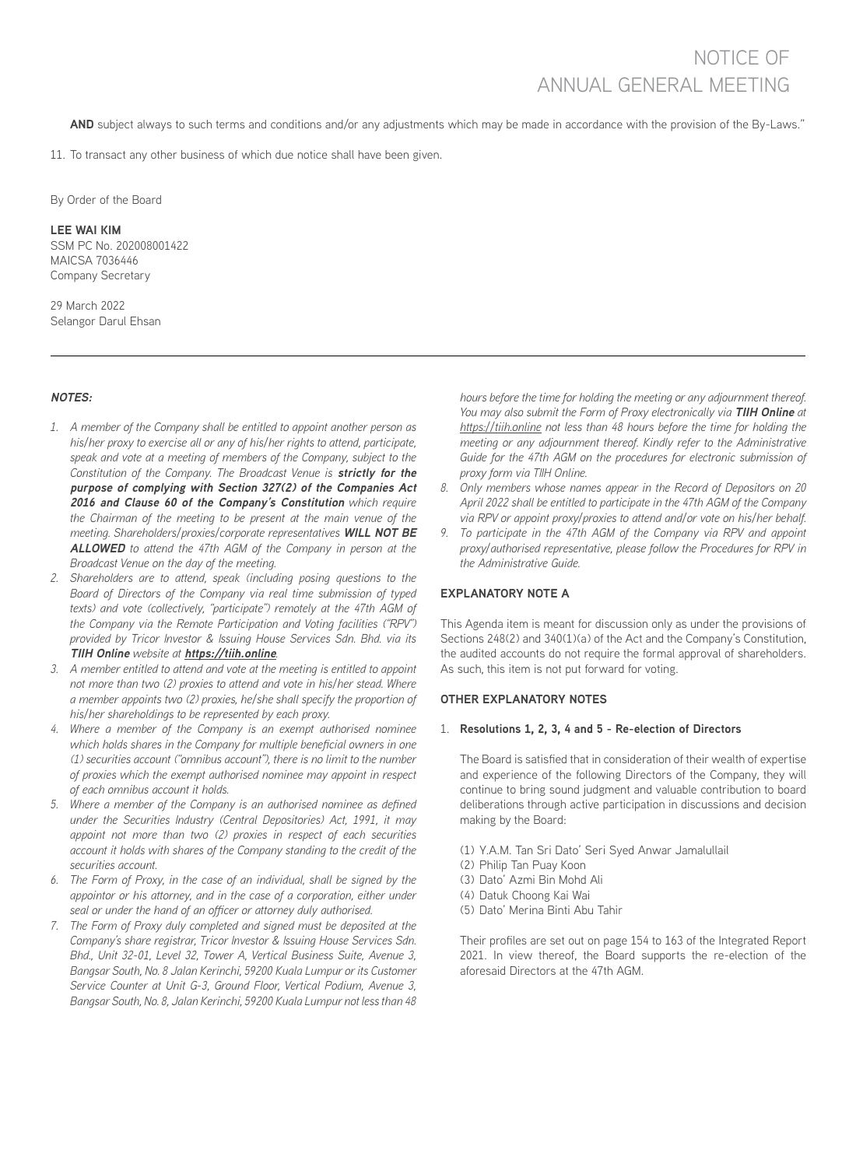AND subject always to such terms and conditions and/or any adjustments which may be made in accordance with the provision of the By-Laws."

11. To transact any other business of which due notice shall have been given.

By Order of the Board

#### **LEE WAI KIM**

SSM PC No. 202008001422 MAICSA 7036446 Company Secretary

29 March 2022 Selangor Darul Ehsan

## **NOTES:**

- *1. A member of the Company shall be entitled to appoint another person as his/her proxy to exercise all or any of his/her rights to attend, participate, speak and vote at a meeting of members of the Company, subject to the Constitution of the Company. The Broadcast Venue is* **strictly for the purpose of complying with Section 327(2) of the Companies Act 2016 and Clause 60 of the Company's Constitution** *which require the Chairman of the meeting to be present at the main venue of the meeting. Shareholders/proxies/corporate representatives* **WILL NOT BE ALLOWED** *to attend the 47th AGM of the Company in person at the Broadcast Venue on the day of the meeting.*
- *2. Shareholders are to attend, speak (including posing questions to the Board of Directors of the Company via real time submission of typed texts) and vote (collectively, "participate") remotely at the 47th AGM of the Company via the Remote Participation and Voting facilities ("RPV") provided by Tricor Investor & Issuing House Services Sdn. Bhd. via its*  **TIIH Online** *website at* **https://tiih.online***.*
- *3. A member entitled to attend and vote at the meeting is entitled to appoint not more than two (2) proxies to attend and vote in his/her stead. Where a member appoints two (2) proxies, he/she shall specify the proportion of his/her shareholdings to be represented by each proxy.*
- *4. Where a member of the Company is an exempt authorised nominee which holds shares in the Company for multiple beneficial owners in one (1) securities account ("omnibus account"), there is no limit to the number of proxies which the exempt authorised nominee may appoint in respect of each omnibus account it holds.*
- *5. Where a member of the Company is an authorised nominee as defined under the Securities Industry (Central Depositories) Act, 1991, it may appoint not more than two (2) proxies in respect of each securities account it holds with shares of the Company standing to the credit of the securities account.*
- *6. The Form of Proxy, in the case of an individual, shall be signed by the appointor or his attorney, and in the case of a corporation, either under seal or under the hand of an officer or attorney duly authorised.*
- *7. The Form of Proxy duly completed and signed must be deposited at the Company's share registrar, Tricor Investor & Issuing House Services Sdn. Bhd., Unit 32-01, Level 32, Tower A, Vertical Business Suite, Avenue 3, Bangsar South, No. 8 Jalan Kerinchi, 59200 Kuala Lumpur or its Customer Service Counter at Unit G-3, Ground Floor, Vertical Podium, Avenue 3, Bangsar South, No. 8, Jalan Kerinchi, 59200 Kuala Lumpur not less than 48*

*hours before the time for holding the meeting or any adjournment thereof. You may also submit the Form of Proxy electronically via* **TIIH Online** *at https://tiih.online not less than 48 hours before the time for holding the meeting or any adjournment thereof. Kindly refer to the Administrative Guide for the 47th AGM on the procedures for electronic submission of proxy form via TIIH Online.* 

- *8. Only members whose names appear in the Record of Depositors on 20 April 2022 shall be entitled to participate in the 47th AGM of the Company via RPV or appoint proxy/proxies to attend and/or vote on his/her behalf.*
- *9. To participate in the 47th AGM of the Company via RPV and appoint proxy/authorised representative, please follow the Procedures for RPV in the Administrative Guide.*

## **EXPLANATORY NOTE A**

This Agenda item is meant for discussion only as under the provisions of Sections 248(2) and 340(1)(a) of the Act and the Company's Constitution, the audited accounts do not require the formal approval of shareholders. As such, this item is not put forward for voting.

## **OTHER EXPLANATORY NOTES**

#### 1. **Resolutions 1, 2, 3, 4 and 5 - Re-election of Directors**

The Board is satisfied that in consideration of their wealth of expertise and experience of the following Directors of the Company, they will continue to bring sound judgment and valuable contribution to board deliberations through active participation in discussions and decision making by the Board:

- (1) Y.A.M. Tan Sri Dato' Seri Syed Anwar Jamalullail
- (2) Philip Tan Puay Koon
- (3) Dato' Azmi Bin Mohd Ali
- (4) Datuk Choong Kai Wai
- (5) Dato' Merina Binti Abu Tahir

Their profiles are set out on page 154 to 163 of the Integrated Report 2021. In view thereof, the Board supports the re-election of the aforesaid Directors at the 47th AGM.